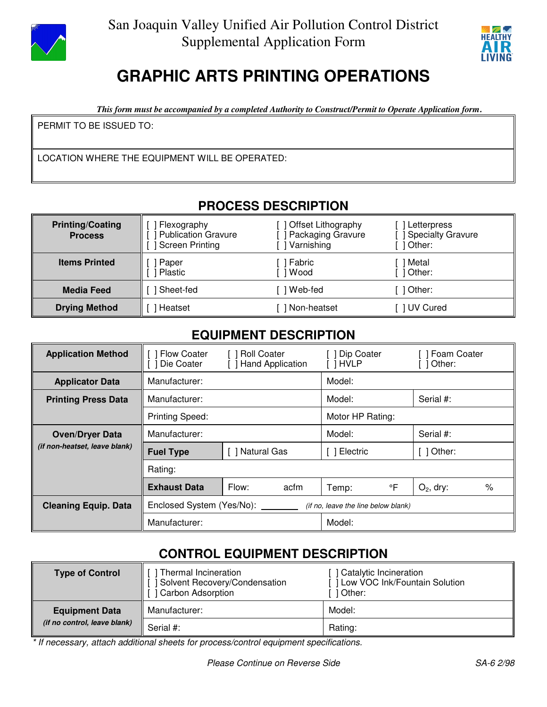

 San Joaquin Valley Unified Air Pollution Control District Supplemental Application Form



# **GRAPHIC ARTS PRINTING OPERATIONS**

*This form must be accompanied by a completed Authority to Construct/Permit to Operate Application form.*

PERMIT TO BE ISSUED TO:

LOCATION WHERE THE EQUIPMENT WILL BE OPERATED:

## **PROCESS DESCRIPTION**

| <b>Printing/Coating</b><br><b>Process</b> | Flexography<br><b>Publication Gravure</b><br><b>Screen Printing</b> | <b>Offset Lithography</b><br>Packaging Gravure<br>Varnishing | Letterpress<br><b>Specialty Gravure</b><br>1 Other: |
|-------------------------------------------|---------------------------------------------------------------------|--------------------------------------------------------------|-----------------------------------------------------|
| <b>Items Printed</b>                      | Paper<br>Plastic                                                    | Fabric<br>Wood                                               | Metal<br>  Other:                                   |
| Media Feed                                | Sheet-fed                                                           | Web-fed                                                      | 1 Other:                                            |
| <b>Drying Method</b>                      | Heatset                                                             | Non-heatset                                                  | UV Cured                                            |

### **EQUIPMENT DESCRIPTION**

| <b>Application Method</b>     | <b>Flow Coater</b><br>Die Coater                                 | <b>Roll Coater</b><br>$\Box$<br><b>Hand Application</b> |                  | Dip Coater<br>$\Box$<br>[ ] HVLP | Foam Coater<br>Other: |              |      |
|-------------------------------|------------------------------------------------------------------|---------------------------------------------------------|------------------|----------------------------------|-----------------------|--------------|------|
| <b>Applicator Data</b>        | Manufacturer:                                                    |                                                         |                  | Model:                           |                       |              |      |
| <b>Printing Press Data</b>    | Manufacturer:                                                    |                                                         | Model:           |                                  | Serial #:             |              |      |
|                               | <b>Printing Speed:</b>                                           |                                                         | Motor HP Rating: |                                  |                       |              |      |
| <b>Oven/Dryer Data</b>        | Manufacturer:                                                    |                                                         | Model:           |                                  | Serial #:             |              |      |
| (if non-heatset, leave blank) | <b>Fuel Type</b>                                                 | Natural Gas                                             |                  | Electric<br>$\mathbf{1}$         |                       | Other:       |      |
|                               | Rating:                                                          |                                                         |                  |                                  |                       |              |      |
|                               | <b>Exhaust Data</b>                                              | Flow:                                                   | acfm             | Temp:                            | °F                    | $O_2$ , dry: | $\%$ |
| <b>Cleaning Equip. Data</b>   | Enclosed System (Yes/No):<br>(if no, leave the line below blank) |                                                         |                  |                                  |                       |              |      |
|                               | Manufacturer:                                                    |                                                         | Model:           |                                  |                       |              |      |

# **CONTROL EQUIPMENT DESCRIPTION**

| <b>Type of Control</b>       | Thermal Incineration<br><b>Solvent Recovery/Condensation</b><br>[ ] Carbon Adsorption | Catalytic Incineration<br>1 Low VOC Ink/Fountain Solution<br>1 Other: |
|------------------------------|---------------------------------------------------------------------------------------|-----------------------------------------------------------------------|
| <b>Equipment Data</b>        | Manufacturer:                                                                         | Model:                                                                |
| (if no control, leave blank) | Serial #:                                                                             | Rating:                                                               |

\* If necessary, attach additional sheets for process/control equipment specifications.